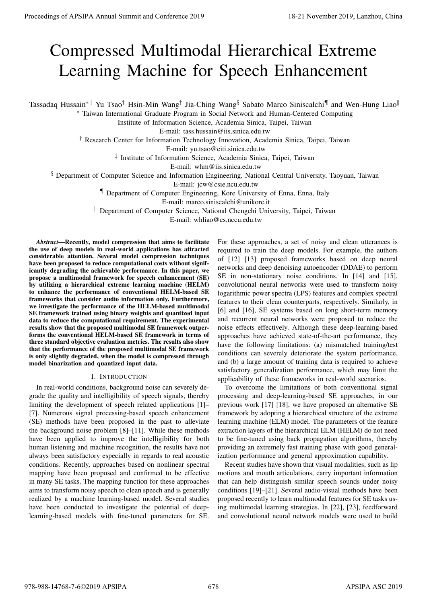# Compressed Multimodal Hierarchical Extreme Learning Machine for Speech Enhancement

Tassadaq Hussain\*<sup>||</sup> Yu Tsao† Hsin-Min Wang<sup>‡</sup> Jia-Ching Wang§ Sabato Marco Siniscalchi¶ and Wen-Hung Liao<sup>||</sup>

<sup>∗</sup> Taiwan International Graduate Program in Social Network and Human-Centered Computing

Institute of Information Science, Academia Sinica, Taipei, Taiwan

E-mail: tass.hussain@iis.sinica.edu.tw

† Research Center for Information Technology Innovation, Academia Sinica, Taipei, Taiwan

E-mail: yu.tsao@citi.sinica.edu.tw

‡ Institute of Information Science, Academia Sinica, Taipei, Taiwan

E-mail: whm@iis.sinica.edu.tw

§ Department of Computer Science and Information Engineering, National Central University, Taoyuan, Taiwan

E-mail: jcw@csie.ncu.edu.tw

¶ Department of Computer Engineering, Kore University of Enna, Enna, Italy

E-mail: marco.siniscalchi@unikore.it

I Department of Computer Science, National Chengchi University, Taipei, Taiwan

E-mail: whliao@cs.nccu.edu.tw

*Abstract*—Recently, model compression that aims to facilitate the use of deep models in real-world applications has attracted considerable attention. Several model compression techniques have been proposed to reduce computational costs without significantly degrading the achievable performance. In this paper, we propose a multimodal framework for speech enhancement (SE) by utilizing a hierarchical extreme learning machine (HELM) to enhance the performance of conventional HELM-based SE frameworks that consider audio information only. Furthermore, we investigate the performance of the HELM-based multimodal SE framework trained using binary weights and quantized input data to reduce the computational requirement. The experimental results show that the proposed multimodal SE framework outperforms the conventional HELM-based SE framework in terms of three standard objective evaluation metrics. The results also show that the performance of the proposed multimodal SE framework is only slightly degraded, when the model is compressed through model binarization and quantized input data.

### I. INTRODUCTION

In real-world conditions, background noise can severely degrade the quality and intelligibility of speech signals, thereby limiting the development of speech related applications [1]– [7]. Numerous signal processing-based speech enhancement (SE) methods have been proposed in the past to alleviate the background noise problem [8]–[11]. While these methods have been applied to improve the intelligibility for both human listening and machine recognition, the results have not always been satisfactory especially in regards to real acoustic conditions. Recently, approaches based on nonlinear spectral mapping have been proposed and confirmed to be effective in many SE tasks. The mapping function for these approaches aims to transform noisy speech to clean speech and is generally realized by a machine learning-based model. Several studies have been conducted to investigate the potential of deeplearning-based models with fine-tuned parameters for SE.

For these approaches, a set of noisy and clean utterances is required to train the deep models. For example, the authors of [12] [13] proposed frameworks based on deep neural networks and deep denoising autoencoder (DDAE) to perform SE in non-stationary noise conditions. In [14] and [15], convolutional neural networks were used to transform noisy logarithmic power spectra (LPS) features and complex spectral features to their clean counterparts, respectively. Similarly, in [6] and [16], SE systems based on long short-term memory and recurrent neural networks were proposed to reduce the noise effects effectively. Although these deep-learning-based approaches have achieved state-of-the-art performance, they have the following limitations: (a) mismatched training/test conditions can severely deteriorate the system performance, and (b) a large amount of training data is required to achieve satisfactory generalization performance, which may limit the applicability of these frameworks in real-world scenarios. **Proceedings of APSIPA Annual Summit and Conference 2019**<br> **Compress of APSIPA Annual Summit and Conference 2019**<br> **Compress of APSIPA Annual Summit and Compress of APSIPA and Compress of APSIPA and Computer 2019<br>
The fir** 

To overcome the limitations of both conventional signal processing and deep-learning-based SE approaches, in our previous work [17] [18], we have proposed an alternative SE framework by adopting a hierarchical structure of the extreme learning machine (ELM) model. The parameters of the feature extraction layers of the hierarchical ELM (HELM) do not need to be fine-tuned using back propagation algorithms, thereby providing an extremely fast training phase with good generalization performance and general approximation capability.

Recent studies have shown that visual modalities, such as lip motions and mouth articulations, carry important information that can help distinguish similar speech sounds under noisy conditions [19]–[21]. Several audio-visual methods have been proposed recently to learn multimodal features for SE tasks using multimodal learning strategies. In [22], [23], feedforward and convolutional neural network models were used to build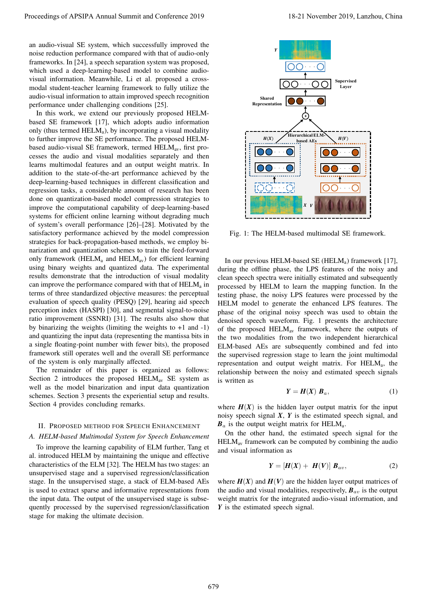an audio-visual SE system, which successfully improved the noise reduction performance compared with that of audio-only frameworks. In [24], a speech separation system was proposed, which used a deep-learning-based model to combine audiovisual information. Meanwhile, Li et al. proposed a crossmodal student-teacher learning framework to fully utilize the audio-visual information to attain improved speech recognition performance under challenging conditions [25].

In this work, we extend our previously proposed HELMbased SE framework [17], which adopts audio information only (thus termed  $HELM<sub>a</sub>$ ), by incorporating a visual modality to further improve the SE performance. The proposed HELMbased audio-visual SE framework, termed HELM<sub>av</sub>, first processes the audio and visual modalities separately and then learns multimodal features and an output weight matrix. In addition to the state-of-the-art performance achieved by the deep-learning-based techniques in different classification and regression tasks, a considerable amount of research has been done on quantization-based model compression strategies to improve the computational capability of deep-learning-based systems for efficient online learning without degrading much of system's overall performance [26]–[28]. Motivated by the satisfactory performance achieved by the model compression strategies for back-propagation-based methods, we employ binarization and quantization schemes to train the feed-forward only framework (HELM<sub>a</sub> and HELM<sub>av</sub>) for efficient learning using binary weights and quantized data. The experimental results demonstrate that the introduction of visual modality can improve the performance compared with that of  $HELM<sub>a</sub>$  in terms of three standardized objective measures: the perceptual evaluation of speech quality (PESQ) [29], hearing aid speech perception index (HASPI) [30], and segmental signal-to-noise ratio improvement (SSNRI) [31]. The results also show that by binarizing the weights (limiting the weights to  $+1$  and  $-1$ ) and quantizing the input data (representing the mantissa bits in a single floating-point number with fewer bits), the proposed framework still operates well and the overall SE performance of the system is only marginally affected. Proceedings of APSIPA Annual Summit at Conference 2019 11<br>
and the share of APSIPA Annual Summit and Conference 2019 11<br>
and Conference 2019 and Conference 2019 and Conference 2019 and Conference 2019<br>
and Conference 2019

The remainder of this paper is organized as follows: Section 2 introduces the proposed HELM<sub>av</sub> SE system as well as the model binarization and input data quantization schemes. Section 3 presents the experiential setup and results. Section 4 provides concluding remarks.

## II. PROPOSED METHOD FOR SPEECH ENHANCEMENT *A. HELM-based Multimodal System for Speech Enhancement*

To improve the learning capability of ELM further, Tang et al. introduced HELM by maintaining the unique and effective characteristics of the ELM [32]. The HELM has two stages: an unsupervised stage and a supervised regression/classification stage. In the unsupervised stage, a stack of ELM-based AEs is used to extract sparse and informative representations from the input data. The output of the unsupervised stage is subsequently processed by the supervised regression/classification stage for making the ultimate decision.



Fig. 1: The HELM-based multimodal SE framework.

In our previous HELM-based SE (HELM<sub>a</sub>) framework [17], during the offline phase, the LPS features of the noisy and clean speech spectra were initially estimated and subsequently processed by HELM to learn the mapping function. In the testing phase, the noisy LPS features were processed by the HELM model to generate the enhanced LPS features. The phase of the original noisy speech was used to obtain the denoised speech waveform. Fig. 1 presents the architecture of the proposed  $HELM_{av}$  framework, where the outputs of the two modalities from the two independent hierarchical ELM-based AEs are subsequently combined and fed into the supervised regression stage to learn the joint multimodal representation and output weight matrix. For  $HELM<sub>a</sub>$ , the relationship between the noisy and estimated speech signals is written as

$$
Y = H(X) \, B_a,\tag{1}
$$

where  $H(X)$  is the hidden layer output matrix for the input noisy speech signal *X*, *Y* is the estimated speech signal, and  $\mathbf{B}_a$  is the output weight matrix for HELM<sub>a</sub>.

On the other hand, the estimated speech signal for the  $HELM<sub>av</sub>$  framework can be computed by combining the audio and visual information as

$$
Y = [H(X) + H(V)] B_{av}, \qquad (2)
$$

where  $H(X)$  and  $H(V)$  are the hidden layer output matrices of the audio and visual modalities, respectively,  $B_{av}$  is the output weight matrix for the integrated audio-visual information, and *Y* is the estimated speech signal.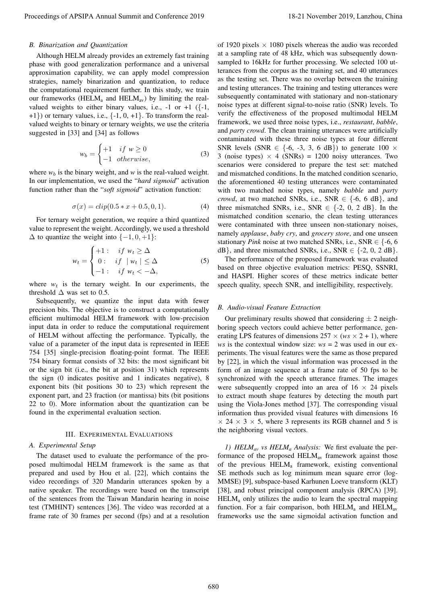#### *B. Binarization and Quantization*

Although HELM already provides an extremely fast training phase with good generalization performance and a universal approximation capability, we can apply model compression strategies, namely binarization and quantization, to reduce the computational requirement further. In this study, we train our frameworks (HELM<sub>a</sub> and HELM<sub>av</sub>) by limiting the realvalued weights to either binary values, i.e.,  $-1$  or  $+1$  ( $\{-1,$  $+1$ }) or ternary values, i.e.,  $\{-1, 0, +1\}$ . To transform the realvalued weights to binary or ternary weights, we use the criteria suggested in [33] and [34] as follows

$$
w_b = \begin{cases} +1 & \text{if } w \ge 0 \\ -1 & \text{otherwise,} \end{cases}
$$
 (3)

where  $w<sub>b</sub>$  is the binary weight, and  $w$  is the real-valued weight. In our implementation, we used the "*hard sigmoid*" activation function rather than the "*soft sigmoid*" activation function:

$$
\sigma(x) = clip(0.5 * x + 0.5, 0, 1). \tag{4}
$$

For ternary weight generation, we require a third quantized value to represent the weight. Accordingly, we used a threshold  $\Delta$  to quantize the weight into  $\{-1, 0, +1\}$ :

$$
w_t = \begin{cases} +1: & if \ w_t \ge \Delta \\ 0: & if \ |w_t| \le \Delta \\ -1: & if \ w_t < -\Delta, \end{cases}
$$
 (5)

where  $w_t$  is the ternary weight. In our experiments, the threshold  $\Delta$  was set to 0.5.

Subsequently, we quantize the input data with fewer precision bits. The objective is to construct a computationally efficient multimodal HELM framework with low-precision input data in order to reduce the computational requirement of HELM without affecting the performance. Typically, the value of a parameter of the input data is represented in IEEE 754 [35] single-precision floating-point format. The IEEE 754 binary format consists of 32 bits: the most significant bit or the sign bit (i.e., the bit at position 31) which represents the sign (0 indicates positive and 1 indicates negative), 8 exponent bits (bit positions 30 to 23) which represent the exponent part, and 23 fraction (or mantissa) bits (bit positions 22 to 0). More information about the quantization can be found in the experimental evaluation section.

#### III. EXPERIMENTAL EVALUATIONS

#### *A. Experimental Setup*

The dataset used to evaluate the performance of the proposed multimodal HELM framework is the same as that prepared and used by Hou et al. [22], which contains the video recordings of 320 Mandarin utterances spoken by a native speaker. The recordings were based on the transcript of the sentences from the Taiwan Mandarin hearing in noise test (TMHINT) sentences [36]. The video was recorded at a frame rate of 30 frames per second (fps) and at a resolution

of 1920 pixels  $\times$  1080 pixels whereas the audio was recorded at a sampling rate of 48 kHz, which was subsequently downsampled to 16kHz for further processing. We selected 100 utterances from the corpus as the training set, and 40 utterances as the testing set. There was no overlap between the training and testing utterances. The training and testing utterances were subsequently contaminated with stationary and non-stationary noise types at different signal-to-noise ratio (SNR) levels. To verify the effectiveness of the proposed multimodal HELM framework, we used three noise types, i.e., *restaurant*, *babble*, and *party crowd*. The clean training utterances were artificially contaminated with these three noise types at four different SNR levels (SNR  $\in$  {-6, -3, 3, 6 dB}) to generate 100  $\times$ 3 (noise types)  $\times$  4 (SNRs) = 1200 noisy utterances. Two scenarios were considered to prepare the test set: matched and mismatched conditions. In the matched condition scenario, the aforementioned 40 testing utterances were contaminated with two matched noise types, namely *babble* and *party crowd*, at two matched SNRs, i.e., SNR  $\in$  {-6, 6 dB}, and three mismatched SNRs, i.e., SNR  $\in$  {-2, 0, 2 dB}. In the mismatched condition scenario, the clean testing utterances were contaminated with three unseen non-stationary noises, namely *applause*, *baby cry*, and *grocery store*, and one unseen stationary *Pink* noise at two matched SNRs, i.e., SNR  $\in$  {-6, 6}  $dB$ , and three mismatched SNRs, i.e., SNR  $\in$  {-2, 0, 2 dB}. Proceedings of APSIPA Annual Summit and Conference 2019 18-21 November 2019 18-21 November 2019 18-22 November 2019 18-22 November 2019 18-22 November 2019 18-22 November 2019 18-22 November 2019 18-22 November 2019 18-22

The performance of the proposed framework was evaluated based on three objective evaluation metrics: PESQ, SSNRI, and HASPI. Higher scores of these metrics indicate better speech quality, speech SNR, and intelligibility, respectively.

#### *B. Audio-visual Feature Extraction*

Our preliminary results showed that considering  $\pm 2$  neighboring speech vectors could achieve better performance, generating LPS features of dimensions  $257 \times (ws \times 2 + 1)$ , where *ws* is the contextual window size:  $ws = 2$  was used in our experiments. The visual features were the same as those prepared by [22], in which the visual information was processed in the form of an image sequence at a frame rate of 50 fps to be synchronized with the speech utterance frames. The images were subsequently cropped into an area of  $16 \times 24$  pixels to extract mouth shape features by detecting the mouth part using the Viola-Jones method [37]. The corresponding visual information thus provided visual features with dimensions 16  $\times$  24  $\times$  3  $\times$  5, where 3 represents its RGB channel and 5 is the neighboring visual vectors.

*1) HELMav vs HELM<sup>a</sup> Analysis:* We first evaluate the performance of the proposed  $HELM_{av}$  framework against those of the previous  $HELM<sub>a</sub>$  framework, existing conventional SE methods such as log minimum mean square error (log-MMSE) [9], subspace-based Karhunen Loeve transform (KLT) [38], and robust principal component analysis (RPCA) [39].  $HELM<sub>a</sub>$  only utilizes the audio to learn the spectral mapping function. For a fair comparison, both  $HELM<sub>a</sub>$  and  $HELM<sub>av</sub>$ frameworks use the same sigmoidal activation function and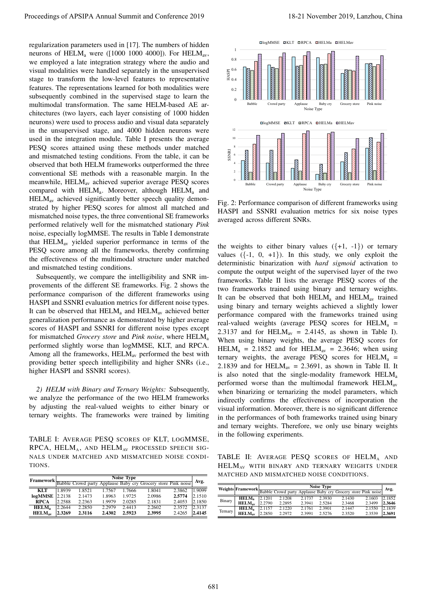regularization parameters used in [17]. The numbers of hidden neurons of HELM<sub>a</sub> were ([1000 1000 4000]). For HELM<sub>av</sub>, we employed a late integration strategy where the audio and visual modalities were handled separately in the unsupervised stage to transform the low-level features to representative features. The representations learned for both modalities were subsequently combined in the supervised stage to learn the multimodal transformation. The same HELM-based AE architectures (two layers, each layer consisting of 1000 hidden neurons) were used to process audio and visual data separately in the unsupervised stage, and 4000 hidden neurons were used in the integration module. Table I presents the average PESQ scores attained using these methods under matched and mismatched testing conditions. From the table, it can be observed that both HELM frameworks outperformed the three conventional SE methods with a reasonable margin. In the meanwhile, HELMav achieved superior average PESQ scores compared with  $HELM<sub>a</sub>$ . Moreover, although  $HELM<sub>a</sub>$  and HELMav achieved significantly better speech quality demonstrated by higher PESQ scores for almost all matched and mismatched noise types, the three conventional SE frameworks performed relatively well for the mismatched stationary *Pink* noise, especially logMMSE. The results in Table I demonstrate that HELMav yielded superior performance in terms of the PESQ score among all the frameworks, thereby confirming the effectiveness of the multimodal structure under matched and mismatched testing conditions. Proceeding of APSIPA Annual Summit at China 682 No. 2013.<br>
Summit and Conference 2019, Langham Annual Summit and Conference 2019 18-21 November 2019, Langham Annual Summit and Conference 2019, Langham Annual Summit and Co

Subsequently, we compare the intelligibility and SNR improvements of the different SE frameworks. Fig. 2 shows the performance comparison of the different frameworks using HASPI and SSNRI evaluation metrics for different noise types. It can be observed that  $HELM<sub>a</sub>$  and  $HELM<sub>av</sub>$  achieved better generalization performance as demonstrated by higher average scores of HASPI and SSNRI for different noise types except for mismatched *Grocery store* and *Pink noise*, where HELM<sup>a</sup> performed slightly worse than logMMSE, KLT, and RPCA. Among all the frameworks,  $HELM$ <sub>av</sub> performed the best with providing better speech intelligibility and higher SNRs (i.e., higher HASPI and SSNRI scores).

*2) HELM with Binary and Ternary Weights:* Subsequently, we analyze the performance of the two HELM frameworks by adjusting the real-valued weights to either binary or ternary weights. The frameworks were trained by limiting

TABLE I: AVERAGE PESQ SCORES OF KLT, LOGMMSE, RPCA, HELM<sub>A</sub>, AND HELM<sub>AV</sub> PROCESSED SPEECH SIG-NALS UNDER MATCHED AND MISMATCHED NOISE CONDI-TIONS.

|                          | <b>Noise Type</b><br>Framework Babble Crowd party Applause Baby cry Grocery store Pink noise |        |        |        |        |        |        |  |  |  |
|--------------------------|----------------------------------------------------------------------------------------------|--------|--------|--------|--------|--------|--------|--|--|--|
|                          |                                                                                              |        |        |        |        |        | Avg.   |  |  |  |
| KLT                      | 1.8939                                                                                       | 1.8521 | 1.7567 | 1.7666 | 1.8041 | 2.3862 | 1.9099 |  |  |  |
| logMMSE                  | 2.2138                                                                                       | 2.1473 | 1.8963 | 1.9725 | 2.0986 | 2.5774 | 2.1510 |  |  |  |
| <b>RPCA</b>              | 2.2588                                                                                       | 2.2363 | 1.9979 | 2.0285 | 2.1831 | 2.4053 | 2.1850 |  |  |  |
| <b>HELM</b> <sub>a</sub> | 2.2644                                                                                       | 2.2850 | 2.2979 | 2.4413 | 2.2602 | 2.3572 | 2.3137 |  |  |  |
| $HELM_{av}$              | 2.3269                                                                                       | 2.3116 | 2.4302 | 2.5923 | 2.3995 | 2.4265 | 2.4145 |  |  |  |



Fig. 2: Performance comparison of different frameworks using HASPI and SSNRI evaluation metrics for six noise types averaged across different SNRs.

the weights to either binary values  $({+1, -1})$  or ternary values  $({-1, 0, +1})$ . In this study, we only exploit the deterministic binarization with *hard sigmoid* activation to compute the output weight of the supervised layer of the two frameworks. Table II lists the average PESQ scores of the two frameworks trained using binary and ternary weights. It can be observed that both  $HELM<sub>a</sub>$  and  $HELM<sub>av</sub>$  trained using binary and ternary weights achieved a slightly lower performance compared with the frameworks trained using real-valued weights (average PESQ scores for  $HELM<sub>a</sub>$  = 2.3137 and for  $HELM_{av} = 2.4145$ , as shown in Table I). When using binary weights, the average PESQ scores for HELM<sub>a</sub> = 2.1852 and for HELM<sub>av</sub> = 2.3646; when using ternary weights, the average PESQ scores for  $HELM<sub>a</sub>$  = 2.1839 and for  $HELM_{av} = 2.3691$ , as shown in Table II. It is also noted that the single-modality framework  $HELM<sub>a</sub>$ performed worse than the multimodal framework  $HELM$ <sub>av</sub> when binarizing or ternarizing the model parameters, which indirectly confirms the effectiveness of incorporation the visual information. Moreover, there is no significant difference in the performances of both frameworks trained using binary and ternary weights. Therefore, we only use binary weights in the following experiments.

TABLE II: AVERAGE PESQ SCORES OF HELMA AND HELMAV WITH BINARY AND TERNARY WEIGHTS UNDER MATCHED AND MISMATCHED NOISE CONDITIONS.

|         |                           | <b>Noise Type</b><br>Weights Framework Babble Crowd party Applause Baby cry Grocery store Pink noise |        |        |        |        |        |         |
|---------|---------------------------|------------------------------------------------------------------------------------------------------|--------|--------|--------|--------|--------|---------|
|         |                           |                                                                                                      |        |        |        |        |        | Avg.    |
| Binary  | HELM <sub>a</sub>         | 2.1201                                                                                               | 2.1208 | 2.1737 | 2.3930 | 2.1430 | 2.1603 | 12.1852 |
|         | <b>HELM</b> <sub>av</sub> | 2.2790                                                                                               | 2.2895 | 2.3941 | 2.5284 | 2.3468 | 2.3499 | 2.3646  |
| Ternary | HELM <sub>a</sub>         | 2.1157                                                                                               | 2.1220 | 2.1761 | 2.3901 | 2.1447 | 2.1550 | 2.1839  |
|         | <b>HELM</b> <sub>av</sub> | 2.2850                                                                                               | 2.2972 | 2.3991 | 2.5276 | 2.3520 | 2.3539 | 2.3691  |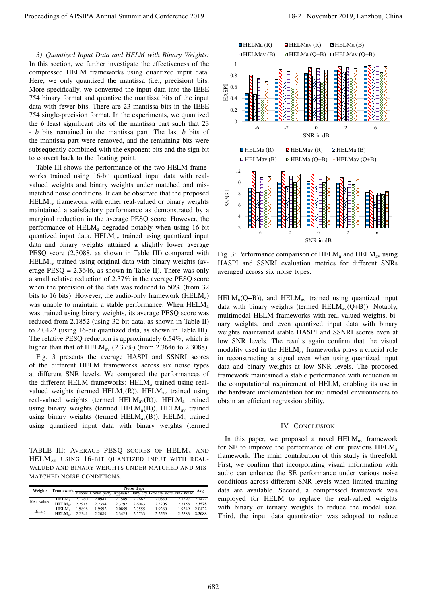*3) Quantized Input Data and HELM with Binary Weights:* In this section, we further investigate the effectiveness of the compressed HELM frameworks using quantized input data. Here, we only quantized the mantissa (i.e., precision) bits. More specifically, we converted the input data into the IEEE 754 binary format and quantize the mantissa bits of the input data with fewer bits. There are 23 mantissa bits in the IEEE 754 single-precision format. In the experiments, we quantized the *b* least significant bits of the mantissa part such that 23 - *b* bits remained in the mantissa part. The last *b* bits of the mantissa part were removed, and the remaining bits were subsequently combined with the exponent bits and the sign bit to convert back to the floating point.

Table III shows the performance of the two HELM frameworks trained using 16-bit quantized input data with realvalued weights and binary weights under matched and mismatched noise conditions. It can be observed that the proposed  $HELM<sub>av</sub>$  framework with either real-valued or binary weights maintained a satisfactory performance as demonstrated by a marginal reduction in the average PESQ score. However, the performance of  $HELM<sub>a</sub>$  degraded notably when using 16-bit quantized input data. HELM<sub>av</sub> trained using quantized input data and binary weights attained a slightly lower average PESQ score (2.3088, as shown in Table III) compared with HELMav trained using original data with binary weights (average PESQ = 2.3646, as shown in Table II). There was only a small relative reduction of 2.37% in the average PESQ score when the precision of the data was reduced to 50% (from 32 bits to 16 bits). However, the audio-only framework ( $HELM<sub>a</sub>$ ) was unable to maintain a stable performance. When  $HELM<sub>a</sub>$ was trained using binary weights, its average PESQ score was reduced from 2.1852 (using 32-bit data, as shown in Table II) to 2.0422 (using 16-bit quantized data, as shown in Table III). The relative PESQ reduction is approximately 6.54%, which is higher than that of HELM<sub>av</sub>  $(2.37\%)$  (from 2.3646 to 2.3088).

Fig. 3 presents the average HASPI and SSNRI scores of the different HELM frameworks across six noise types at different SNR levels. We compared the performances of the different HELM frameworks:  $HELM<sub>a</sub>$  trained using realvalued weights (termed HELM<sub>a</sub>(R)), HELM<sub>av</sub> trained using real-valued weights (termed  $HELM_{av}(R)$ ),  $HELM_{a}$  trained using binary weights (termed  $HELM<sub>a</sub>(B)$ ),  $HELM<sub>av</sub>$  trained using binary weights (termed  $HELM_{av}(B)$ ),  $HELM_{a}$  trained using quantized input data with binary weights (termed

TABLE III: AVERAGE PESQ SCORES OF HELMA AND HELMAV USING 16-BIT QUANTIZED INPUT WITH REAL-VALUED AND BINARY WEIGHTS UNDER MATCHED AND MIS-MATCHED NOISE CONDITIONS.

| Weights     |                   | <b>Noise Type</b><br>Framework Babble Crowd party Applause Baby cry Grocery store Pink noise |        |        |        |        |        |        |
|-------------|-------------------|----------------------------------------------------------------------------------------------|--------|--------|--------|--------|--------|--------|
|             |                   |                                                                                              |        |        |        |        |        | Avg.   |
| Real-valued | HELM <sub>a</sub> | 2.1260                                                                                       | 2.0947 | 2.1589 | 2.2662 | 2.0680 | 2.1397 | 2.1422 |
|             | $HELM_{ov}$       | 2.2918                                                                                       | 2.2354 | 2.3792 | 2.6043 | 2.3205 | 2.3158 | 2.3578 |
| Binary      | HELM <sub>a</sub> | 1.9898                                                                                       | 1.9592 | 2.0859 | 2.3555 | 1.9280 | 1.9349 | 2.0422 |
|             | $HELM_{av}$       | 2.2341                                                                                       | 2.2089 | 2.3425 | 2.5733 | 2.2559 | 2.2383 | 2.3088 |



Fig. 3: Performance comparison of  $HELM<sub>a</sub>$  and  $HELM<sub>av</sub>$  using HASPI and SSNRI evaluation metrics for different SNRs averaged across six noise types.

 $HELM<sub>a</sub>(Q+B)$ , and  $HELM<sub>av</sub>$  trained using quantized input data with binary weights (termed  $HELM<sub>av</sub>(Q+B)$ ). Notably, multimodal HELM frameworks with real-valued weights, binary weights, and even quantized input data with binary weights maintained stable HASPI and SSNRI scores even at low SNR levels. The results again confirm that the visual modality used in the  $HELM_{av}$  frameworks plays a crucial role in reconstructing a signal even when using quantized input data and binary weights at low SNR levels. The proposed framework maintained a stable performance with reduction in the computational requirement of HELM, enabling its use in the hardware implementation for multimodal environments to obtain an efficient regression ability.

#### IV. CONCLUSION

In this paper, we proposed a novel  $HELM_{av}$  framework for SE to improve the performance of our previous  $HELM<sub>a</sub>$ framework. The main contribution of this study is threefold. First, we confirm that incorporating visual information with audio can enhance the SE performance under various noise conditions across different SNR levels when limited training data are available. Second, a compressed framework was employed for HELM to replace the real-valued weights with binary or ternary weights to reduce the model size. Third, the input data quantization was adopted to reduce